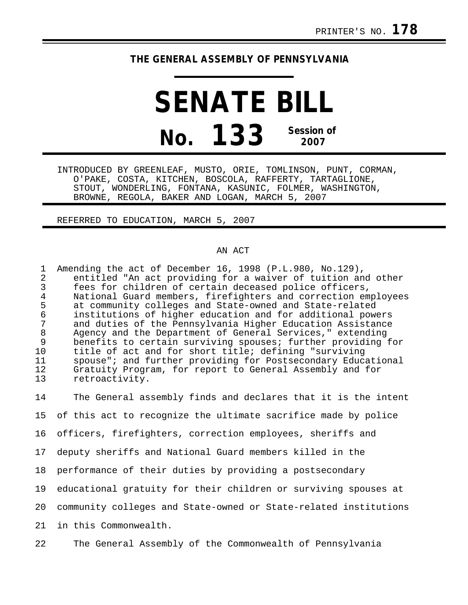## **THE GENERAL ASSEMBLY OF PENNSYLVANIA**

## **SENATE BILL No. 133 Session of 2007**

INTRODUCED BY GREENLEAF, MUSTO, ORIE, TOMLINSON, PUNT, CORMAN, O'PAKE, COSTA, KITCHEN, BOSCOLA, RAFFERTY, TARTAGLIONE, STOUT, WONDERLING, FONTANA, KASUNIC, FOLMER, WASHINGTON, BROWNE, REGOLA, BAKER AND LOGAN, MARCH 5, 2007

REFERRED TO EDUCATION, MARCH 5, 2007

## AN ACT

1 Amending the act of December 16, 1998 (P.L.980, No.129),<br>2 entitled "An act providing for a waiver of tuition and 2 entitled "An act providing for a waiver of tuition and other<br>3 fees for children of certain deceased police officers. fees for children of certain deceased police officers, 4 National Guard members, firefighters and correction employees<br>5 at community colleges and State-owned and State-related 5 at community colleges and State-owned and State-related 6 institutions of higher education and for additional powers 7 and duties of the Pennsylvania Higher Education Assistance 8 Agency and the Department of General Services," extending 9 benefits to certain surviving spouses; further providing for 10 title of act and for short title; defining "surviving<br>11 spouse"; and further providing for Postsecondary Educa 11 spouse"; and further providing for Postsecondary Educational<br>12 Gratuity Program, for report to General Assembly and for 12 Gratuity Program, for report to General Assembly and for<br>13 Fetroactivity. retroactivity.

14 The General assembly finds and declares that it is the intent 15 of this act to recognize the ultimate sacrifice made by police 16 officers, firefighters, correction employees, sheriffs and 17 deputy sheriffs and National Guard members killed in the 18 performance of their duties by providing a postsecondary 19 educational gratuity for their children or surviving spouses at 20 community colleges and State-owned or State-related institutions 21 in this Commonwealth.

22 The General Assembly of the Commonwealth of Pennsylvania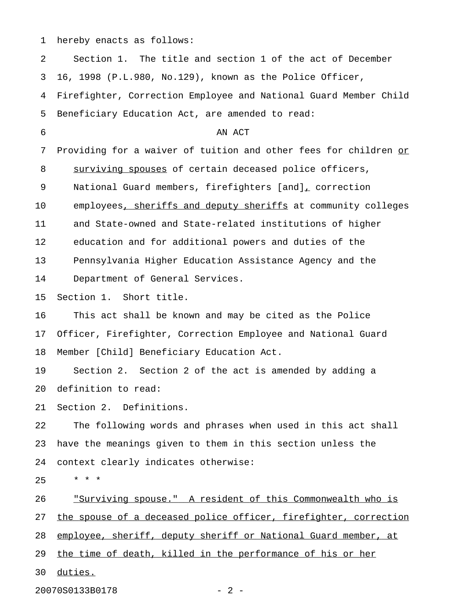1 hereby enacts as follows:

2 Section 1. The title and section 1 of the act of December 3 16, 1998 (P.L.980, No.129), known as the Police Officer, 4 Firefighter, Correction Employee and National Guard Member Child 5 Beneficiary Education Act, are amended to read: 6 AN ACT 7 Providing for a waiver of tuition and other fees for children or 8 surviving spouses of certain deceased police officers, 9 National Guard members, firefighters [and], correction 10 employees, sheriffs and deputy sheriffs at community colleges 11 and State-owned and State-related institutions of higher 12 education and for additional powers and duties of the 13 Pennsylvania Higher Education Assistance Agency and the 14 Department of General Services. 15 Section 1. Short title. 16 This act shall be known and may be cited as the Police 17 Officer, Firefighter, Correction Employee and National Guard 18 Member [Child] Beneficiary Education Act. 19 Section 2. Section 2 of the act is amended by adding a 20 definition to read: 21 Section 2. Definitions. 22 The following words and phrases when used in this act shall 23 have the meanings given to them in this section unless the 24 context clearly indicates otherwise:  $25 + * * *$ 26 . Surviving spouse." A resident of this Commonwealth who is 27 the spouse of a deceased police officer, firefighter, correction 28 employee, sheriff, deputy sheriff or National Guard member, at 29 the time of death, killed in the performance of his or her 30 duties. \_\_\_\_\_\_\_

20070S0133B0178 - 2 -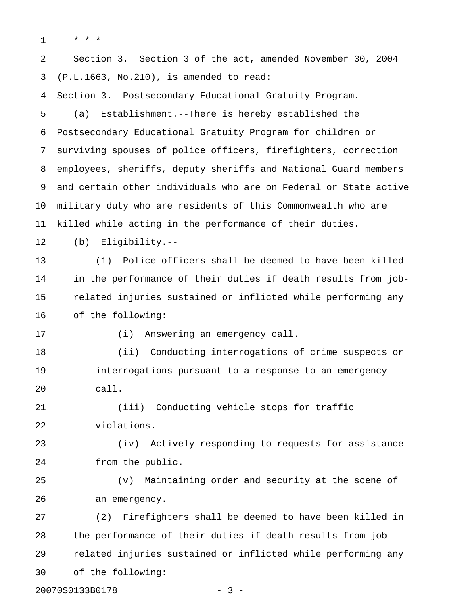$1 \times \star \star \star$ 

2 Section 3. Section 3 of the act, amended November 30, 2004 3 (P.L.1663, No.210), is amended to read: 4 Section 3. Postsecondary Educational Gratuity Program.

5 (a) Establishment.--There is hereby established the 6 Postsecondary Educational Gratuity Program for children or 7 surviving spouses of police officers, firefighters, correction 8 employees, sheriffs, deputy sheriffs and National Guard members 9 and certain other individuals who are on Federal or State active 10 military duty who are residents of this Commonwealth who are 11 killed while acting in the performance of their duties.

12 (b) Eligibility.--

13 (1) Police officers shall be deemed to have been killed 14 in the performance of their duties if death results from job-15 related injuries sustained or inflicted while performing any 16 of the following:

17 (i) Answering an emergency call.

18 (ii) Conducting interrogations of crime suspects or 19 interrogations pursuant to a response to an emergency 20 call.

21 (iii) Conducting vehicle stops for traffic 22 violations.

23 (iv) Actively responding to requests for assistance 24 from the public.

25 (v) Maintaining order and security at the scene of 26 an emergency.

27 (2) Firefighters shall be deemed to have been killed in 28 the performance of their duties if death results from job-29 related injuries sustained or inflicted while performing any 30 of the following:

20070S0133B0178 - 3 -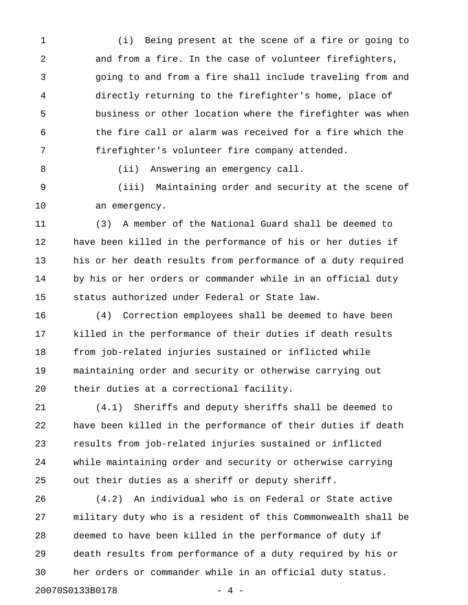1 (i) Being present at the scene of a fire or going to 2 and from a fire. In the case of volunteer firefighters, 3 going to and from a fire shall include traveling from and 4 directly returning to the firefighter's home, place of 5 business or other location where the firefighter was when 6 the fire call or alarm was received for a fire which the 7 firefighter's volunteer fire company attended.

8 (ii) Answering an emergency call.

9 (iii) Maintaining order and security at the scene of 10 an emergency.

11 (3) A member of the National Guard shall be deemed to 12 have been killed in the performance of his or her duties if 13 his or her death results from performance of a duty required 14 by his or her orders or commander while in an official duty 15 status authorized under Federal or State law.

16 (4) Correction employees shall be deemed to have been 17 killed in the performance of their duties if death results 18 from job-related injuries sustained or inflicted while 19 maintaining order and security or otherwise carrying out 20 their duties at a correctional facility.

21 (4.1) Sheriffs and deputy sheriffs shall be deemed to 22 have been killed in the performance of their duties if death 23 results from job-related injuries sustained or inflicted 24 while maintaining order and security or otherwise carrying 25 out their duties as a sheriff or deputy sheriff.

26 (4.2) An individual who is on Federal or State active 27 military duty who is a resident of this Commonwealth shall be 28 deemed to have been killed in the performance of duty if 29 death results from performance of a duty required by his or 30 her orders or commander while in an official duty status. 20070S0133B0178 - 4 -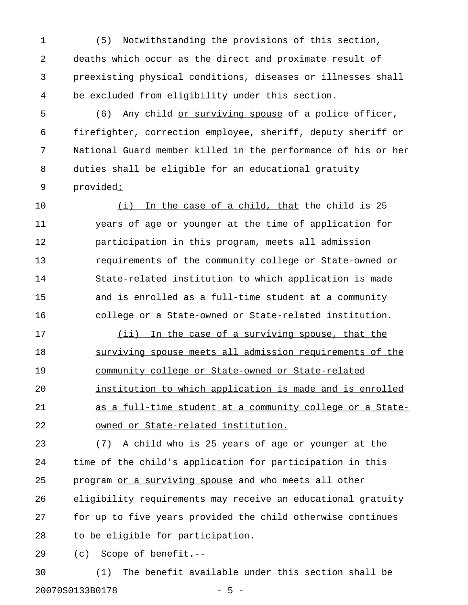1 (5) Notwithstanding the provisions of this section, 2 deaths which occur as the direct and proximate result of 3 preexisting physical conditions, diseases or illnesses shall 4 be excluded from eligibility under this section.

5 (6) Any child or surviving spouse of a police officer, 6 firefighter, correction employee, sheriff, deputy sheriff or 7 National Guard member killed in the performance of his or her 8 duties shall be eligible for an educational gratuity 9 provided:\_

10  $(i)$  In the case of a child, that the child is 25 11 years of age or younger at the time of application for 12 participation in this program, meets all admission 13 requirements of the community college or State-owned or 14 State-related institution to which application is made 15 and is enrolled as a full-time student at a community 16 college or a State-owned or State-related institution.

17 (ii) In the case of a surviving spouse, that the 18 surviving spouse meets all admission requirements of the 19 community college or State-owned or State-related \_\_\_\_\_\_\_\_\_\_\_\_\_\_\_\_\_\_\_\_\_\_\_\_\_\_\_\_\_\_\_\_\_\_\_\_\_\_\_\_\_\_\_\_\_\_\_\_\_ 20 institution to which application is made and is enrolled 21 as a full-time student at a community college or a State-22 owned or State-related institution.

23 (7) A child who is 25 years of age or younger at the 24 time of the child's application for participation in this 25 program or a surviving spouse and who meets all other 26 eligibility requirements may receive an educational gratuity 27 for up to five years provided the child otherwise continues 28 to be eligible for participation.

29 (c) Scope of benefit.--

30 (1) The benefit available under this section shall be 20070S0133B0178 - 5 -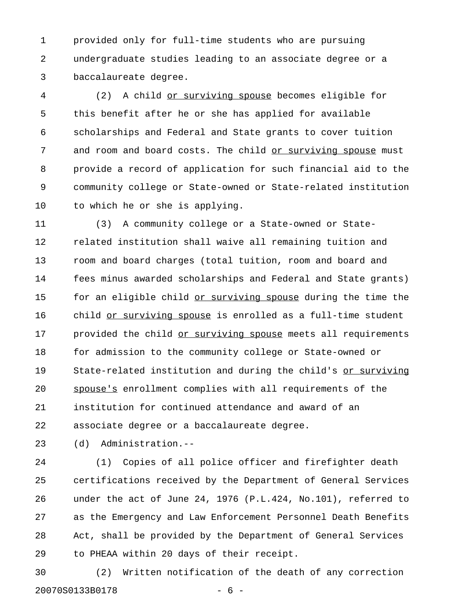1 provided only for full-time students who are pursuing 2 undergraduate studies leading to an associate degree or a 3 baccalaureate degree.

4 (2) A child <u>or surviving spouse</u> becomes eligible for 5 this benefit after he or she has applied for available 6 scholarships and Federal and State grants to cover tuition 7 and room and board costs. The child or surviving spouse must 8 provide a record of application for such financial aid to the 9 community college or State-owned or State-related institution 10 to which he or she is applying.

11 (3) A community college or a State-owned or State-12 related institution shall waive all remaining tuition and 13 room and board charges (total tuition, room and board and 14 fees minus awarded scholarships and Federal and State grants) 15 for an eligible child or surviving spouse during the time the 16 child or surviving spouse is enrolled as a full-time student 17 provided the child or surviving spouse meets all requirements 18 for admission to the community college or State-owned or 19 State-related institution and during the child's or surviving \_\_\_\_\_\_\_\_\_\_\_\_ 20 spouse's enrollment complies with all requirements of the 21 institution for continued attendance and award of an 22 associate degree or a baccalaureate degree.

23 (d) Administration.--

24 (1) Copies of all police officer and firefighter death 25 certifications received by the Department of General Services 26 under the act of June 24, 1976 (P.L.424, No.101), referred to 27 as the Emergency and Law Enforcement Personnel Death Benefits 28 Act, shall be provided by the Department of General Services 29 to PHEAA within 20 days of their receipt.

30 (2) Written notification of the death of any correction 20070S0133B0178 - 6 -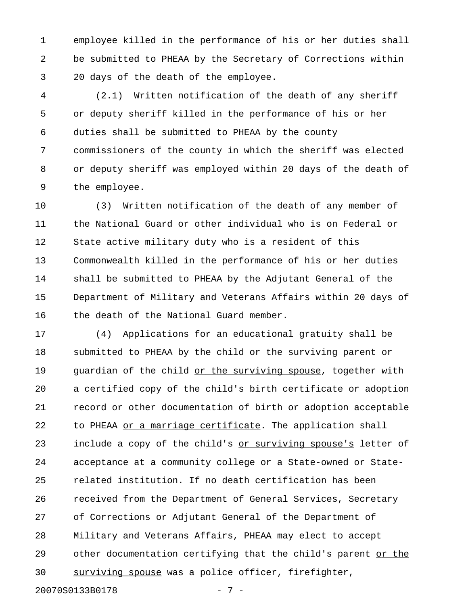1 employee killed in the performance of his or her duties shall 2 be submitted to PHEAA by the Secretary of Corrections within 3 20 days of the death of the employee.

4 (2.1) Written notification of the death of any sheriff 5 or deputy sheriff killed in the performance of his or her 6 duties shall be submitted to PHEAA by the county 7 commissioners of the county in which the sheriff was elected 8 or deputy sheriff was employed within 20 days of the death of 9 the employee.

10 (3) Written notification of the death of any member of 11 the National Guard or other individual who is on Federal or 12 State active military duty who is a resident of this 13 Commonwealth killed in the performance of his or her duties 14 shall be submitted to PHEAA by the Adjutant General of the 15 Department of Military and Veterans Affairs within 20 days of 16 the death of the National Guard member.

17 (4) Applications for an educational gratuity shall be 18 submitted to PHEAA by the child or the surviving parent or 19 guardian of the child or the surviving spouse, together with 20 a certified copy of the child's birth certificate or adoption 21 record or other documentation of birth or adoption acceptable 22 to PHEAA or a marriage certificate. The application shall 23 include a copy of the child's <u>or surviving spouse's</u> letter of 24 acceptance at a community college or a State-owned or State-25 related institution. If no death certification has been 26 received from the Department of General Services, Secretary 27 of Corrections or Adjutant General of the Department of 28 Military and Veterans Affairs, PHEAA may elect to accept 29 other documentation certifying that the child's parent or the 30 surviving spouse was a police officer, firefighter, \_\_\_\_\_\_\_\_\_\_\_\_\_\_\_\_

20070S0133B0178 - 7 -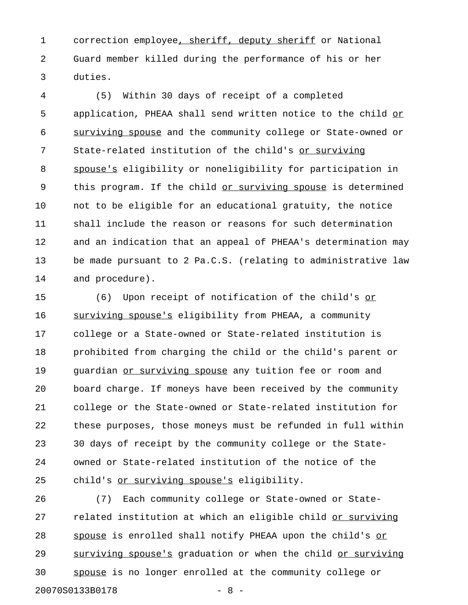1 correction employee, sheriff, deputy sheriff or National 2 Guard member killed during the performance of his or her 3 duties.

4 (5) Within 30 days of receipt of a completed 5 application, PHEAA shall send written notice to the child or 6 surviving spouse and the community college or State-owned or \_\_\_\_\_\_\_\_\_\_\_\_\_\_\_\_ 7 State-related institution of the child's or surviving 8 spouse's eligibility or noneligibility for participation in 9 this program. If the child or surviving spouse is determined 10 not to be eligible for an educational gratuity, the notice 11 shall include the reason or reasons for such determination 12 and an indication that an appeal of PHEAA's determination may 13 be made pursuant to 2 Pa.C.S. (relating to administrative law 14 and procedure).

15 (6) Upon receipt of notification of the child's or 16 surviving spouse's eligibility from PHEAA, a community 17 college or a State-owned or State-related institution is 18 prohibited from charging the child or the child's parent or 19 guardian or surviving spouse any tuition fee or room and 20 board charge. If moneys have been received by the community 21 college or the State-owned or State-related institution for 22 these purposes, those moneys must be refunded in full within 23 30 days of receipt by the community college or the State-24 owned or State-related institution of the notice of the 25 child's or surviving spouse's eligibility.

26 (7) Each community college or State-owned or State-27 related institution at which an eligible child or surviving 28 spouse is enrolled shall notify PHEAA upon the child's or 29 surviving spouse's graduation or when the child or surviving 30 spouse is no longer enrolled at the community college or \_\_\_\_\_\_ 20070S0133B0178 - 8 -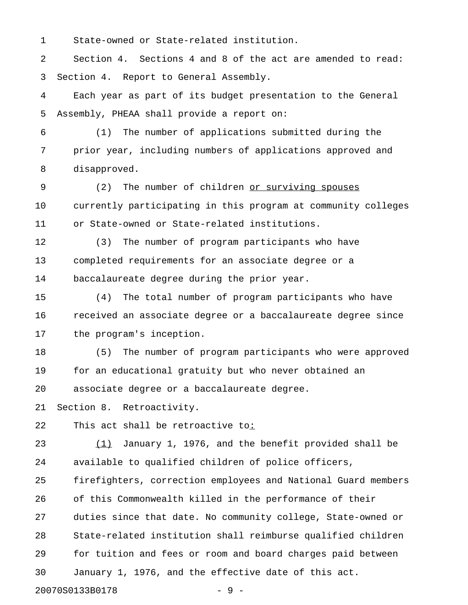1 State-owned or State-related institution.

2 Section 4. Sections 4 and 8 of the act are amended to read: 3 Section 4. Report to General Assembly.

4 Each year as part of its budget presentation to the General 5 Assembly, PHEAA shall provide a report on:

6 (1) The number of applications submitted during the 7 prior year, including numbers of applications approved and 8 disapproved.

9 (2) The number of children or surviving spouses \_\_\_\_\_\_\_\_\_\_\_\_\_\_\_\_\_\_\_\_ 10 currently participating in this program at community colleges 11 or State-owned or State-related institutions.

12 (3) The number of program participants who have 13 completed requirements for an associate degree or a 14 baccalaureate degree during the prior year.

15 (4) The total number of program participants who have 16 received an associate degree or a baccalaureate degree since 17 the program's inception.

18 (5) The number of program participants who were approved 19 for an educational gratuity but who never obtained an 20 associate degree or a baccalaureate degree.

21 Section 8. Retroactivity.

22 This act shall be retroactive to:\_

23  $(1)$  January 1, 1976, and the benefit provided shall be 24 available to qualified children of police officers,

25 firefighters, correction employees and National Guard members 26 of this Commonwealth killed in the performance of their 27 duties since that date. No community college, State-owned or 28 State-related institution shall reimburse qualified children 29 for tuition and fees or room and board charges paid between 30 January 1, 1976, and the effective date of this act.

20070S0133B0178 - 9 -